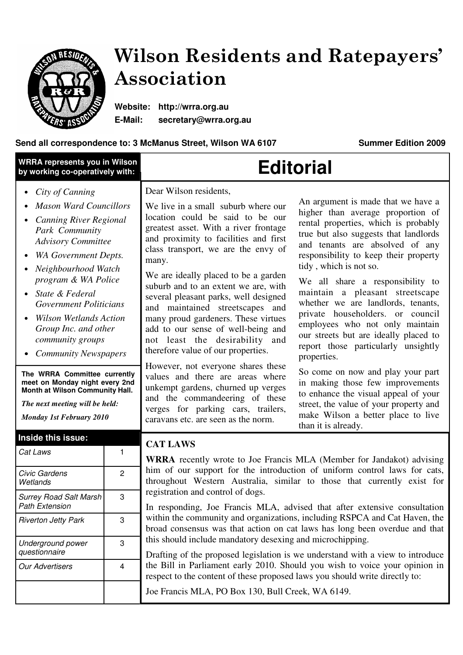

# Wilson Residents and Ratepayers' Association

**Website: http://wrra.org.au E-Mail: secretary@wrra.org.au** 

# Send all correspondence to: 3 McManus Street, Wilson WA 6107 **Summer Edition 2009**

| <b>WRRA represents you in Wilson</b><br>by working co-operatively with:                                                                                                                                                                                                                                                                                       |                | <b>Editorial</b>                                                                                                                                                                                                                                                                                                                                                                                                                                                                                                                                                                                                                                                                                                                                                                                                                                                                     |                                                                                                                                                                                                                                                                                                                                                                                                                                                                                                         |  |
|---------------------------------------------------------------------------------------------------------------------------------------------------------------------------------------------------------------------------------------------------------------------------------------------------------------------------------------------------------------|----------------|--------------------------------------------------------------------------------------------------------------------------------------------------------------------------------------------------------------------------------------------------------------------------------------------------------------------------------------------------------------------------------------------------------------------------------------------------------------------------------------------------------------------------------------------------------------------------------------------------------------------------------------------------------------------------------------------------------------------------------------------------------------------------------------------------------------------------------------------------------------------------------------|---------------------------------------------------------------------------------------------------------------------------------------------------------------------------------------------------------------------------------------------------------------------------------------------------------------------------------------------------------------------------------------------------------------------------------------------------------------------------------------------------------|--|
| City of Canning<br><b>Mason Ward Councillors</b><br><b>Canning River Regional</b><br>Park Community<br><b>Advisory Committee</b><br>WA Government Depts.<br>Neighbourhood Watch                                                                                                                                                                               |                | Dear Wilson residents,<br>We live in a small suburb where our<br>location could be said to be our<br>greatest asset. With a river frontage<br>and proximity to facilities and first<br>class transport, we are the envy of<br>many.<br>We are ideally placed to be a garden<br>suburb and to an extent we are, with<br>several pleasant parks, well designed<br>and maintained streetscapes and<br>many proud gardeners. These virtues<br>add to our sense of well-being and<br>not least the desirability and<br>therefore value of our properties.<br>However, not everyone shares these<br>values and there are areas where<br>unkempt gardens, churned up verges<br>and the commandeering of these<br>verges for parking cars, trailers,<br>caravans etc. are seen as the norm.                                                                                                  | An argument is made that we have a<br>higher than average proportion of<br>rental properties, which is probably<br>true but also suggests that landlords<br>and tenants are absolved of any<br>responsibility to keep their property<br>tidy, which is not so.                                                                                                                                                                                                                                          |  |
| program & WA Police<br>State & Federal<br><b>Government Politicians</b><br><b>Wilson Wetlands Action</b><br>Group Inc. and other<br>community groups<br><b>Community Newspapers</b><br>The WRRA Committee currently<br>meet on Monday night every 2nd<br>Month at Wilson Community Hall.<br>The next meeting will be held:<br><b>Monday 1st February 2010</b> |                |                                                                                                                                                                                                                                                                                                                                                                                                                                                                                                                                                                                                                                                                                                                                                                                                                                                                                      | We all share a responsibility to<br>maintain a pleasant streetscape<br>whether we are landlords, tenants,<br>private householders. or council<br>employees who not only maintain<br>our streets but are ideally placed to<br>report those particularly unsightly<br>properties.<br>So come on now and play your part<br>in making those few improvements<br>to enhance the visual appeal of your<br>street, the value of your property and<br>make Wilson a better place to live<br>than it is already. |  |
| Inside this issue:<br>Cat Laws                                                                                                                                                                                                                                                                                                                                | 1              | <b>CAT LAWS</b>                                                                                                                                                                                                                                                                                                                                                                                                                                                                                                                                                                                                                                                                                                                                                                                                                                                                      |                                                                                                                                                                                                                                                                                                                                                                                                                                                                                                         |  |
| Civic Gardens<br>Wetlands                                                                                                                                                                                                                                                                                                                                     | 2              | <b>WRRA</b> recently wrote to Joe Francis MLA (Member for Jandakot) advising<br>him of our support for the introduction of uniform control laws for cats,<br>throughout Western Australia, similar to those that currently exist for<br>registration and control of dogs.<br>In responding, Joe Francis MLA, advised that after extensive consultation<br>within the community and organizations, including RSPCA and Cat Haven, the<br>broad consensus was that action on cat laws has long been overdue and that<br>this should include mandatory desexing and microchipping.<br>Drafting of the proposed legislation is we understand with a view to introduce<br>the Bill in Parliament early 2010. Should you wish to voice your opinion in<br>respect to the content of these proposed laws you should write directly to:<br>Joe Francis MLA, PO Box 130, Bull Creek, WA 6149. |                                                                                                                                                                                                                                                                                                                                                                                                                                                                                                         |  |
| <b>Surrey Road Salt Marsh</b><br><b>Path Extension</b>                                                                                                                                                                                                                                                                                                        | 3              |                                                                                                                                                                                                                                                                                                                                                                                                                                                                                                                                                                                                                                                                                                                                                                                                                                                                                      |                                                                                                                                                                                                                                                                                                                                                                                                                                                                                                         |  |
| <b>Riverton Jetty Park</b>                                                                                                                                                                                                                                                                                                                                    | 3              |                                                                                                                                                                                                                                                                                                                                                                                                                                                                                                                                                                                                                                                                                                                                                                                                                                                                                      |                                                                                                                                                                                                                                                                                                                                                                                                                                                                                                         |  |
| Underground power<br>questionnaire                                                                                                                                                                                                                                                                                                                            | 3              |                                                                                                                                                                                                                                                                                                                                                                                                                                                                                                                                                                                                                                                                                                                                                                                                                                                                                      |                                                                                                                                                                                                                                                                                                                                                                                                                                                                                                         |  |
| <b>Our Advertisers</b>                                                                                                                                                                                                                                                                                                                                        | $\overline{4}$ |                                                                                                                                                                                                                                                                                                                                                                                                                                                                                                                                                                                                                                                                                                                                                                                                                                                                                      |                                                                                                                                                                                                                                                                                                                                                                                                                                                                                                         |  |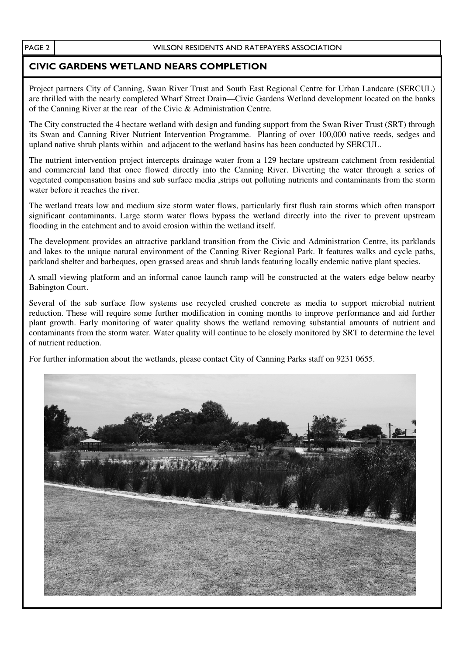## CIVIC GARDENS WETLAND NEARS COMPLETION

Project partners City of Canning, Swan River Trust and South East Regional Centre for Urban Landcare (SERCUL) are thrilled with the nearly completed Wharf Street Drain—Civic Gardens Wetland development located on the banks of the Canning River at the rear of the Civic & Administration Centre.

The City constructed the 4 hectare wetland with design and funding support from the Swan River Trust (SRT) through its Swan and Canning River Nutrient Intervention Programme. Planting of over 100,000 native reeds, sedges and upland native shrub plants within and adjacent to the wetland basins has been conducted by SERCUL.

The nutrient intervention project intercepts drainage water from a 129 hectare upstream catchment from residential and commercial land that once flowed directly into the Canning River. Diverting the water through a series of vegetated compensation basins and sub surface media ,strips out polluting nutrients and contaminants from the storm water before it reaches the river.

The wetland treats low and medium size storm water flows, particularly first flush rain storms which often transport significant contaminants. Large storm water flows bypass the wetland directly into the river to prevent upstream flooding in the catchment and to avoid erosion within the wetland itself.

The development provides an attractive parkland transition from the Civic and Administration Centre, its parklands and lakes to the unique natural environment of the Canning River Regional Park. It features walks and cycle paths, parkland shelter and barbeques, open grassed areas and shrub lands featuring locally endemic native plant species.

A small viewing platform and an informal canoe launch ramp will be constructed at the waters edge below nearby Babington Court.

Several of the sub surface flow systems use recycled crushed concrete as media to support microbial nutrient reduction. These will require some further modification in coming months to improve performance and aid further plant growth. Early monitoring of water quality shows the wetland removing substantial amounts of nutrient and contaminants from the storm water. Water quality will continue to be closely monitored by SRT to determine the level of nutrient reduction.

For further information about the wetlands, please contact City of Canning Parks staff on 9231 0655.

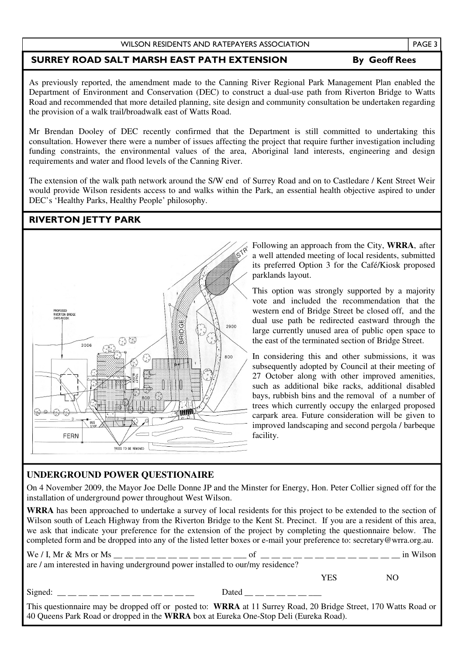#### WILSON RESIDENTS AND RATEPAYERS ASSOCIATION

### SURREY ROAD SALT MARSH EAST PATH EXTENSION By Geoff Rees

As previously reported, the amendment made to the Canning River Regional Park Management Plan enabled the Department of Environment and Conservation (DEC) to construct a dual-use path from Riverton Bridge to Watts Road and recommended that more detailed planning, site design and community consultation be undertaken regarding the provision of a walk trail/broadwalk east of Watts Road.

Mr Brendan Dooley of DEC recently confirmed that the Department is still committed to undertaking this consultation. However there were a number of issues affecting the project that require further investigation including funding constraints, the environmental values of the area, Aboriginal land interests, engineering and design requirements and water and flood levels of the Canning River.

The extension of the walk path network around the S/W end of Surrey Road and on to Castledare / Kent Street Weir would provide Wilson residents access to and walks within the Park, an essential health objective aspired to under DEC's 'Healthy Parks, Healthy People' philosophy.

### RIVERTON JETTY PARK



Following an approach from the City, **WRRA**, after a well attended meeting of local residents, submitted its preferred Option 3 for the Café/Kiosk proposed parklands layout.

This option was strongly supported by a majority vote and included the recommendation that the western end of Bridge Street be closed off, and the dual use path be redirected eastward through the large currently unused area of public open space to the east of the terminated section of Bridge Street.

In considering this and other submissions, it was subsequently adopted by Council at their meeting of 27 October along with other improved amenities, such as additional bike racks, additional disabled bays, rubbish bins and the removal of a number of trees which currently occupy the enlarged proposed carpark area. Future consideration will be given to improved landscaping and second pergola / barbeque facility.

### **UNDERGROUND POWER QUESTIONAIRE**

On 4 November 2009, the Mayor Joe Delle Donne JP and the Minster for Energy, Hon. Peter Collier signed off for the installation of underground power throughout West Wilson.

**WRRA** has been approached to undertake a survey of local residents for this project to be extended to the section of Wilson south of Leach Highway from the Riverton Bridge to the Kent St. Precinct. If you are a resident of this area, we ask that indicate your preference for the extension of the project by completing the questionnaire below. The completed form and be dropped into any of the listed letter boxes or e-mail your preference to: secretary@wrra.org.au.

|                                                                                                                                                                                                          |                                                                                           |            | in Wilson |  |  |  |
|----------------------------------------------------------------------------------------------------------------------------------------------------------------------------------------------------------|-------------------------------------------------------------------------------------------|------------|-----------|--|--|--|
| are / am interested in having underground power installed to our/my residence?                                                                                                                           |                                                                                           |            |           |  |  |  |
|                                                                                                                                                                                                          |                                                                                           | <b>YES</b> | NO.       |  |  |  |
| Signed: __ __ __ __ __ __ __ __ __ __ __                                                                                                                                                                 | Dated $\underline{\qquad}$ $\underline{\qquad}$ $\underline{\qquad}$ $\underline{\qquad}$ |            |           |  |  |  |
| This questionnaire may be dropped off or posted to: WRRA at 11 Surrey Road, 20 Bridge Street, 170 Watts Road or<br>40 Queens Park Road or dropped in the WRRA box at Eureka One-Stop Deli (Eureka Road). |                                                                                           |            |           |  |  |  |

PAGE 3